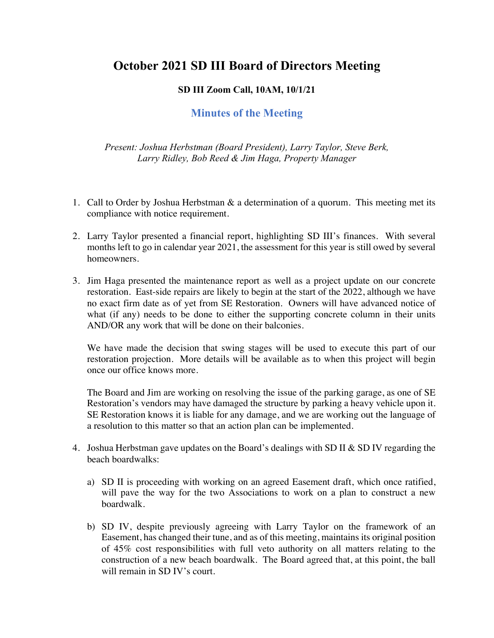## **October 2021 SD III Board of Directors Meeting**

## **SD III Zoom Call, 10AM, 10/1/21**

## **Minutes of the Meeting**

*Present: Joshua Herbstman (Board President), Larry Taylor, Steve Berk, Larry Ridley, Bob Reed & Jim Haga, Property Manager*

- 1. Call to Order by Joshua Herbstman & a determination of a quorum. This meeting met its compliance with notice requirement.
- 2. Larry Taylor presented a financial report, highlighting SD III's finances. With several months left to go in calendar year 2021, the assessment for this year is still owed by several homeowners.
- 3. Jim Haga presented the maintenance report as well as a project update on our concrete restoration. East-side repairs are likely to begin at the start of the 2022, although we have no exact firm date as of yet from SE Restoration. Owners will have advanced notice of what (if any) needs to be done to either the supporting concrete column in their units AND/OR any work that will be done on their balconies.

We have made the decision that swing stages will be used to execute this part of our restoration projection. More details will be available as to when this project will begin once our office knows more.

The Board and Jim are working on resolving the issue of the parking garage, as one of SE Restoration's vendors may have damaged the structure by parking a heavy vehicle upon it. SE Restoration knows it is liable for any damage, and we are working out the language of a resolution to this matter so that an action plan can be implemented.

- 4. Joshua Herbstman gave updates on the Board's dealings with SD II  $\&$  SD IV regarding the beach boardwalks:
	- a) SD II is proceeding with working on an agreed Easement draft, which once ratified, will pave the way for the two Associations to work on a plan to construct a new boardwalk.
	- b) SD IV, despite previously agreeing with Larry Taylor on the framework of an Easement, has changed their tune, and as of this meeting, maintains its original position of 45% cost responsibilities with full veto authority on all matters relating to the construction of a new beach boardwalk. The Board agreed that, at this point, the ball will remain in SD IV's court.